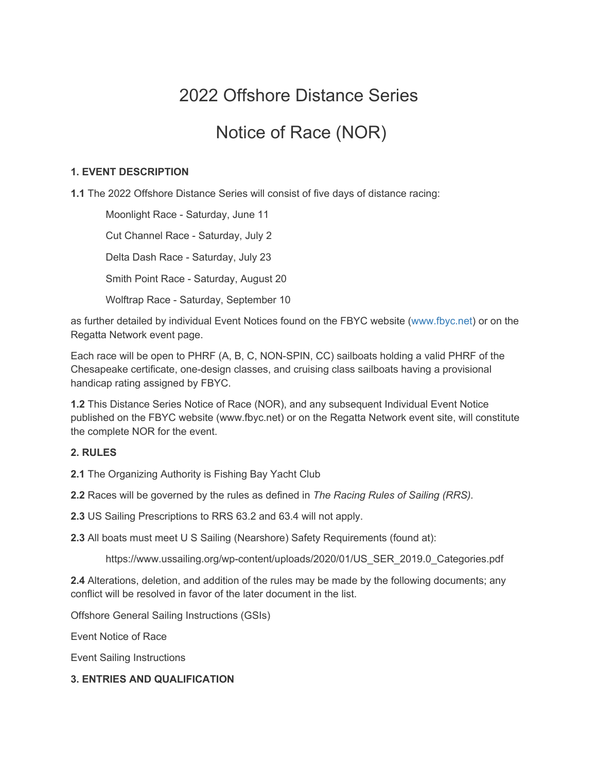# 2022 Offshore Distance Series

## Notice of Race (NOR)

#### **1. EVENT DESCRIPTION**

**1.1** The 2022 Offshore Distance Series will consist of five days of distance racing:

Moonlight Race - Saturday, June 11 Cut Channel Race - Saturday, July 2 Delta Dash Race - Saturday, July 23 Smith Point Race - Saturday, August 20 Wolftrap Race - Saturday, September 10

as further detailed by individual Event Notices found on the FBYC website (www.fbyc.net) or on the Regatta Network event page.

Each race will be open to PHRF (A, B, C, NON-SPIN, CC) sailboats holding a valid PHRF of the Chesapeake certificate, one-design classes, and cruising class sailboats having a provisional handicap rating assigned by FBYC.

**1.2** This Distance Series Notice of Race (NOR), and any subsequent Individual Event Notice published on the FBYC website (www.fbyc.net) or on the Regatta Network event site, will constitute the complete NOR for the event.

#### **2. RULES**

**2.1** The Organizing Authority is Fishing Bay Yacht Club

**2.2** Races will be governed by the rules as defined in *The Racing Rules of Sailing (RRS).*

**2.3** US Sailing Prescriptions to RRS 63.2 and 63.4 will not apply.

**2.3** All boats must meet U S Sailing (Nearshore) Safety Requirements (found at):

https://www.ussailing.org/wp-content/uploads/2020/01/US\_SER\_2019.0\_Categories.pdf

**2.4** Alterations, deletion, and addition of the rules may be made by the following documents; any conflict will be resolved in favor of the later document in the list.

Offshore General Sailing Instructions (GSIs)

Event Notice of Race

Event Sailing Instructions

#### **3. ENTRIES AND QUALIFICATION**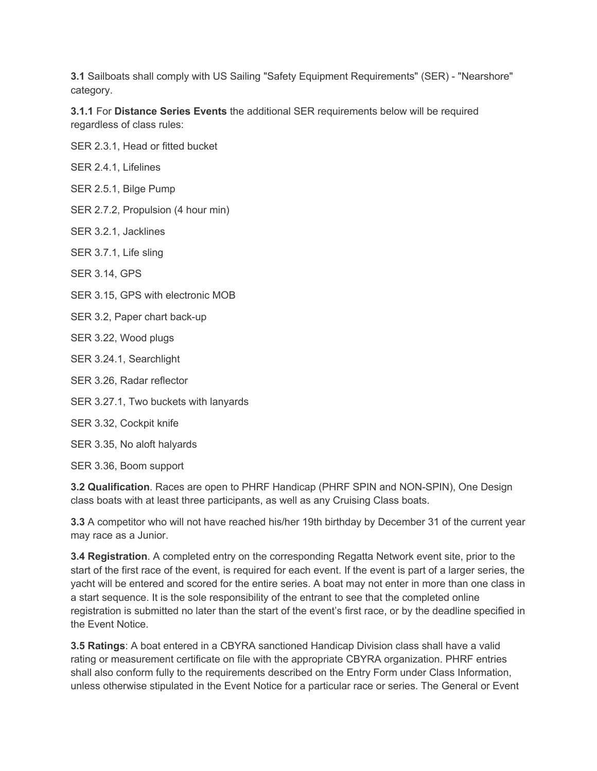**3.1** Sailboats shall comply with US Sailing "Safety Equipment Requirements" (SER) - "Nearshore" category.

**3.1.1** For **Distance Series Events** the additional SER requirements below will be required regardless of class rules:

SER 2.3.1, Head or fitted bucket

SER 2.4.1, Lifelines

SER 2.5.1, Bilge Pump

SER 2.7.2, Propulsion (4 hour min)

SER 3.2.1, Jacklines

SER 3.7.1, Life sling

SER 3.14, GPS

SER 3.15, GPS with electronic MOB

SER 3.2, Paper chart back-up

SER 3.22, Wood plugs

SER 3.24.1, Searchlight

SER 3.26, Radar reflector

SER 3.27.1, Two buckets with lanyards

SER 3.32, Cockpit knife

SER 3.35, No aloft halyards

SER 3.36, Boom support

**3.2 Qualification**. Races are open to PHRF Handicap (PHRF SPIN and NON-SPIN), One Design class boats with at least three participants, as well as any Cruising Class boats.

**3.3** A competitor who will not have reached his/her 19th birthday by December 31 of the current year may race as a Junior.

**3.4 Registration**. A completed entry on the corresponding Regatta Network event site, prior to the start of the first race of the event, is required for each event. If the event is part of a larger series, the yacht will be entered and scored for the entire series. A boat may not enter in more than one class in a start sequence. It is the sole responsibility of the entrant to see that the completed online registration is submitted no later than the start of the event's first race, or by the deadline specified in the Event Notice.

**3.5 Ratings**: A boat entered in a CBYRA sanctioned Handicap Division class shall have a valid rating or measurement certificate on file with the appropriate CBYRA organization. PHRF entries shall also conform fully to the requirements described on the Entry Form under Class Information, unless otherwise stipulated in the Event Notice for a particular race or series. The General or Event